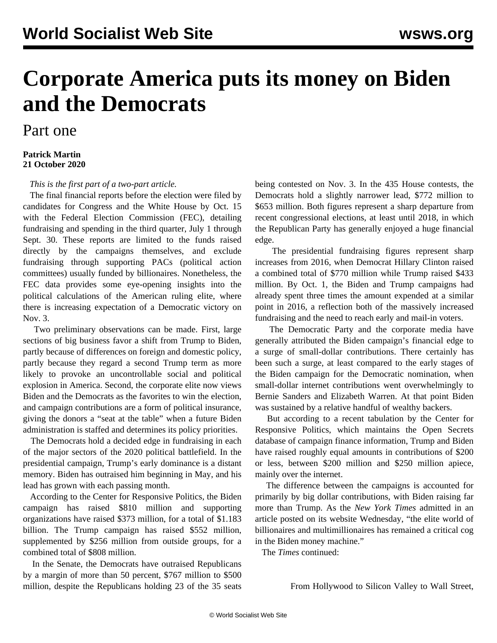## **Corporate America puts its money on Biden and the Democrats**

## Part one

## **Patrick Martin 21 October 2020**

*This is the first part of a two-part article.*

 The final financial reports before the election were filed by candidates for Congress and the White House by Oct. 15 with the Federal Election Commission (FEC), detailing fundraising and spending in the third quarter, July 1 through Sept. 30. These reports are limited to the funds raised directly by the campaigns themselves, and exclude fundraising through supporting PACs (political action committees) usually funded by billionaires. Nonetheless, the FEC data provides some eye-opening insights into the political calculations of the American ruling elite, where there is increasing expectation of a Democratic victory on Nov. 3.

 Two preliminary observations can be made. First, large sections of big business favor a shift from Trump to Biden, partly because of differences on foreign and domestic policy, partly because they regard a second Trump term as more likely to provoke an uncontrollable social and political explosion in America. Second, the corporate elite now views Biden and the Democrats as the favorites to win the election, and campaign contributions are a form of political insurance, giving the donors a "seat at the table" when a future Biden administration is staffed and determines its policy priorities.

 The Democrats hold a decided edge in fundraising in each of the major sectors of the 2020 political battlefield. In the presidential campaign, Trump's early dominance is a distant memory. Biden has outraised him beginning in May, and his lead has grown with each passing month.

 According to the Center for Responsive Politics, the Biden campaign has raised \$810 million and supporting organizations have raised \$373 million, for a total of \$1.183 billion. The Trump campaign has raised \$552 million, supplemented by \$256 million from outside groups, for a combined total of \$808 million.

 In the Senate, the Democrats have outraised Republicans by a margin of more than 50 percent, \$767 million to \$500 million, despite the Republicans holding 23 of the 35 seats being contested on Nov. 3. In the 435 House contests, the Democrats hold a slightly narrower lead, \$772 million to \$653 million. Both figures represent a sharp departure from recent congressional elections, at least until 2018, in which the Republican Party has generally enjoyed a huge financial edge.

 The presidential fundraising figures represent sharp increases from 2016, when Democrat Hillary Clinton raised a combined total of \$770 million while Trump raised \$433 million. By Oct. 1, the Biden and Trump campaigns had already spent three times the amount expended at a similar point in 2016, a reflection both of the massively increased fundraising and the need to reach early and mail-in voters.

 The Democratic Party and the corporate media have generally attributed the Biden campaign's financial edge to a surge of small-dollar contributions. There certainly has been such a surge, at least compared to the early stages of the Biden campaign for the Democratic nomination, when small-dollar internet contributions went overwhelmingly to Bernie Sanders and Elizabeth Warren. At that point Biden was sustained by a relative handful of wealthy backers.

 But according to a recent tabulation by the Center for Responsive Politics, which maintains the Open Secrets database of campaign finance information, Trump and Biden have raised roughly equal amounts in contributions of \$200 or less, between \$200 million and \$250 million apiece, mainly over the internet.

 The difference between the campaigns is accounted for primarily by big dollar contributions, with Biden raising far more than Trump. As the *New York Times* admitted in an article posted on its website Wednesday, "the elite world of billionaires and multimillionaires has remained a critical cog in the Biden money machine."

The *Times* continued:

From Hollywood to Silicon Valley to Wall Street,